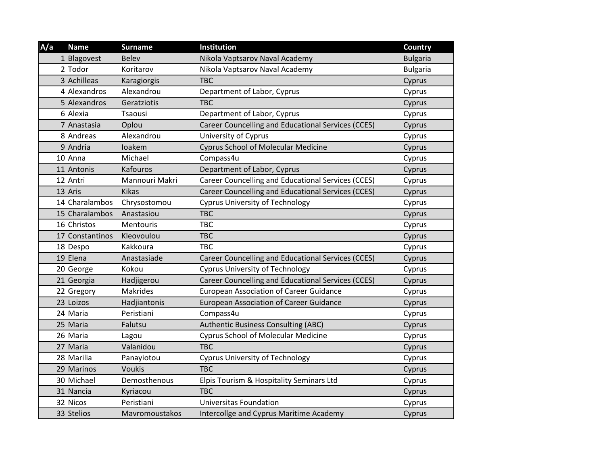| A/a | <b>Name</b>     | <b>Surname</b> | Institution                                        | <b>Country</b>  |
|-----|-----------------|----------------|----------------------------------------------------|-----------------|
|     | 1 Blagovest     | <b>Belev</b>   | Nikola Vaptsarov Naval Academy                     | <b>Bulgaria</b> |
|     | 2 Todor         | Koritarov      | Nikola Vaptsarov Naval Academy                     | <b>Bulgaria</b> |
|     | 3 Achilleas     | Karagiorgis    | <b>TBC</b>                                         | Cyprus          |
|     | 4 Alexandros    | Alexandrou     | Department of Labor, Cyprus                        | Cyprus          |
|     | 5 Alexandros    | Geratziotis    | <b>TBC</b>                                         | Cyprus          |
|     | 6 Alexia        | Tsaousi        | Department of Labor, Cyprus                        | Cyprus          |
|     | 7 Anastasia     | Oplou          | Career Councelling and Educational Services (CCES) | Cyprus          |
|     | 8 Andreas       | Alexandrou     | University of Cyprus                               | Cyprus          |
|     | 9 Andria        | loakem         | <b>Cyprus School of Molecular Medicine</b>         | Cyprus          |
|     | 10 Anna         | Michael        | Compass4u                                          | Cyprus          |
|     | 11 Antonis      | Kafouros       | Department of Labor, Cyprus                        | Cyprus          |
|     | 12 Antri        | Mannouri Makri | Career Councelling and Educational Services (CCES) | Cyprus          |
|     | 13 Aris         | <b>Kikas</b>   | Career Councelling and Educational Services (CCES) | Cyprus          |
|     | 14 Charalambos  | Chrysostomou   | <b>Cyprus University of Technology</b>             | Cyprus          |
|     | 15 Charalambos  | Anastasiou     | <b>TBC</b>                                         | Cyprus          |
|     | 16 Christos     | Mentouris      | <b>TBC</b>                                         | Cyprus          |
|     | 17 Constantinos | Kleovoulou     | <b>TBC</b>                                         | Cyprus          |
|     | 18 Despo        | Kakkoura       | <b>TBC</b>                                         | Cyprus          |
|     | 19 Elena        | Anastasiade    | Career Councelling and Educational Services (CCES) | Cyprus          |
|     | 20 George       | Kokou          | <b>Cyprus University of Technology</b>             | Cyprus          |
|     | 21 Georgia      | Hadjigerou     | Career Councelling and Educational Services (CCES) | Cyprus          |
|     | 22 Gregory      | Makrides       | <b>European Association of Career Guidance</b>     | Cyprus          |
|     | 23 Loizos       | Hadjiantonis   | <b>European Association of Career Guidance</b>     | Cyprus          |
|     | 24 Maria        | Peristiani     | Compass4u                                          | Cyprus          |
|     | 25 Maria        | Falutsu        | <b>Authentic Business Consulting (ABC)</b>         | Cyprus          |
|     | 26 Maria        | Lagou          | <b>Cyprus School of Molecular Medicine</b>         | Cyprus          |
|     | 27 Maria        | Valanidou      | <b>TBC</b>                                         | Cyprus          |
|     | 28 Marilia      | Panayiotou     | <b>Cyprus University of Technology</b>             | Cyprus          |
|     | 29 Marinos      | <b>Voukis</b>  | <b>TBC</b>                                         | Cyprus          |
|     | 30 Michael      | Demosthenous   | Elpis Tourism & Hospitality Seminars Ltd           | Cyprus          |
|     | 31 Nancia       | Kyriacou       | <b>TBC</b>                                         | Cyprus          |
|     | 32 Nicos        | Peristiani     | <b>Universitas Foundation</b>                      | Cyprus          |
|     | 33 Stelios      | Mavromoustakos | Intercollge and Cyprus Maritime Academy            | Cyprus          |